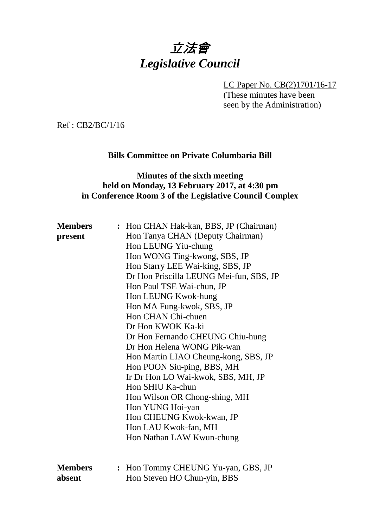# 立法會 *Legislative Council*

LC Paper No. CB(2)1701/16-17

(These minutes have been seen by the Administration)

Ref : CB2/BC/1/16

#### **Bills Committee on Private Columbaria Bill**

### **Minutes of the sixth meeting held on Monday, 13 February 2017, at 4:30 pm in Conference Room 3 of the Legislative Council Complex**

| <b>Members</b><br>present | : Hon CHAN Hak-kan, BBS, JP (Chairman)<br>Hon Tanya CHAN (Deputy Chairman)<br>Hon LEUNG Yiu-chung<br>Hon WONG Ting-kwong, SBS, JP<br>Hon Starry LEE Wai-king, SBS, JP<br>Dr Hon Priscilla LEUNG Mei-fun, SBS, JP<br>Hon Paul TSE Wai-chun, JP<br>Hon LEUNG Kwok-hung<br>Hon MA Fung-kwok, SBS, JP<br>Hon CHAN Chi-chuen<br>Dr Hon KWOK Ka-ki<br>Dr Hon Fernando CHEUNG Chiu-hung<br>Dr Hon Helena WONG Pik-wan<br>Hon Martin LIAO Cheung-kong, SBS, JP<br>Hon POON Siu-ping, BBS, MH<br>Ir Dr Hon LO Wai-kwok, SBS, MH, JP<br>Hon SHIU Ka-chun<br>Hon Wilson OR Chong-shing, MH<br>Hon YUNG Hoi-yan<br>Hon CHEUNG Kwok-kwan, JP<br>Hon LAU Kwok-fan, MH |
|---------------------------|---------------------------------------------------------------------------------------------------------------------------------------------------------------------------------------------------------------------------------------------------------------------------------------------------------------------------------------------------------------------------------------------------------------------------------------------------------------------------------------------------------------------------------------------------------------------------------------------------------------------------------------------------------|
|                           | Hon Nathan LAW Kwun-chung                                                                                                                                                                                                                                                                                                                                                                                                                                                                                                                                                                                                                               |
| <b>Members</b><br>absent  | Hon Tommy CHEUNG Yu-yan, GBS, JP<br>Hon Steven HO Chun-yin, BBS                                                                                                                                                                                                                                                                                                                                                                                                                                                                                                                                                                                         |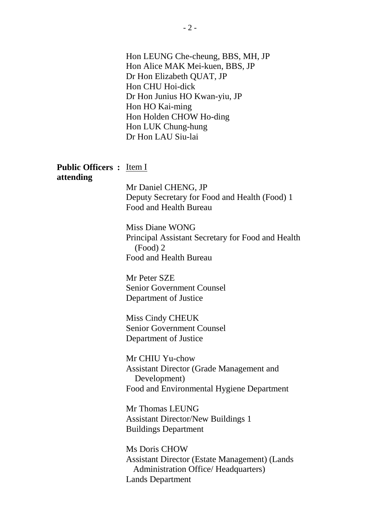Hon LEUNG Che-cheung, BBS, MH, JP Hon Alice MAK Mei-kuen, BBS, JP Dr Hon Elizabeth QUAT, JP Hon CHU Hoi-dick Dr Hon Junius HO Kwan-yiu, JP Hon HO Kai-ming Hon Holden CHOW Ho-ding Hon LUK Chung-hung Dr Hon LAU Siu-lai

#### **Public Officers :** Item I **attending**

Mr Daniel CHENG, JP Deputy Secretary for Food and Health (Food) 1 Food and Health Bureau

Miss Diane WONG Principal Assistant Secretary for Food and Health (Food) 2 Food and Health Bureau

Mr Peter SZE Senior Government Counsel Department of Justice

Miss Cindy CHEUK Senior Government Counsel Department of Justice

Mr CHIU Yu-chow Assistant Director (Grade Management and Development) Food and Environmental Hygiene Department

Mr Thomas LEUNG Assistant Director/New Buildings 1 Buildings Department

Ms Doris CHOW Assistant Director (Estate Management) (Lands Administration Office/ Headquarters) Lands Department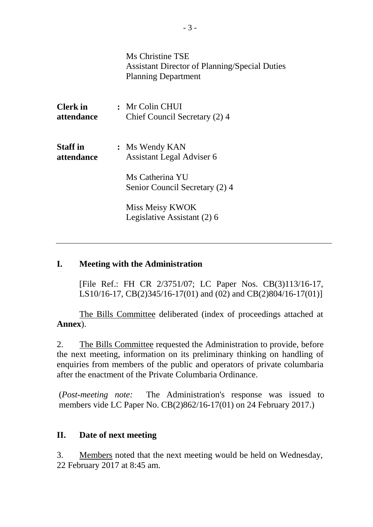|                               | Ms Christine TSE<br><b>Assistant Director of Planning/Special Duties</b><br><b>Planning Department</b> |
|-------------------------------|--------------------------------------------------------------------------------------------------------|
| Clerk in<br>attendance        | : Mr Colin CHUI<br>Chief Council Secretary (2) 4                                                       |
| <b>Staff</b> in<br>attendance | : Ms Wendy KAN<br>Assistant Legal Adviser 6                                                            |
|                               | Ms Catherina YU<br>Senior Council Secretary (2) 4                                                      |
|                               | Miss Meisy KWOK<br>Legislative Assistant (2) 6                                                         |
|                               |                                                                                                        |

#### **I. Meeting with the Administration**

[File Ref.: FH CR 2/3751/07; LC Paper Nos. CB(3)113/16-17, LS10/16-17, CB(2)345/16-17(01) and (02) and CB(2)804/16-17(01)]

The Bills Committee deliberated (index of proceedings attached at **Annex**).

2. The Bills Committee requested the Administration to provide, before the next meeting, information on its preliminary thinking on handling of enquiries from members of the public and operators of private columbaria after the enactment of the Private Columbaria Ordinance.

(*Post-meeting note:* The Administration's response was issued to members vide LC Paper No. CB(2)862/16-17(01) on 24 February 2017.)

#### **II. Date of next meeting**

3. Members noted that the next meeting would be held on Wednesday, 22 February 2017 at 8:45 am.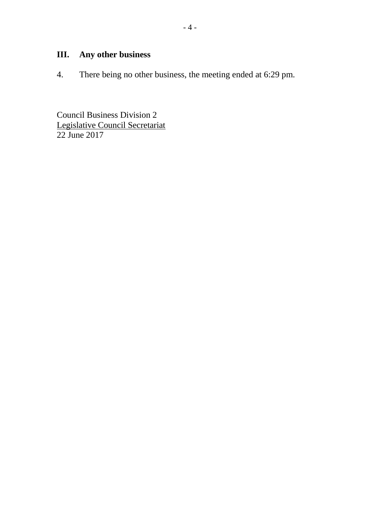# **III. Any other business**

4. There being no other business, the meeting ended at 6:29 pm.

Council Business Division 2 Legislative Council Secretariat 22 June 2017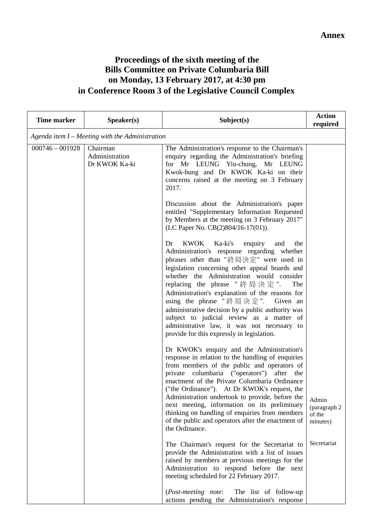## **Proceedings of the sixth meeting of the Bills Committee on Private Columbaria Bill on Monday, 13 February 2017, at 4:30 pm in Conference Room 3 of the Legislative Council Complex**

| Time marker       | Speaker(s)                                      | Subject(s)                                                                                                                                                                                                                                                                                                                                                                                                                                                                                                                                                                  | <b>Action</b><br>required                   |  |  |
|-------------------|-------------------------------------------------|-----------------------------------------------------------------------------------------------------------------------------------------------------------------------------------------------------------------------------------------------------------------------------------------------------------------------------------------------------------------------------------------------------------------------------------------------------------------------------------------------------------------------------------------------------------------------------|---------------------------------------------|--|--|
|                   | Agenda item I - Meeting with the Administration |                                                                                                                                                                                                                                                                                                                                                                                                                                                                                                                                                                             |                                             |  |  |
| $000746 - 001928$ | Chairman<br>Administration<br>Dr KWOK Ka-ki     | The Administration's response to the Chairman's<br>enquiry regarding the Administration's briefing<br>for Mr LEUNG Yiu-chung, Mr LEUNG<br>Kwok-hung and Dr KWOK Ka-ki on their<br>concerns raised at the meeting on 3 February<br>2017.                                                                                                                                                                                                                                                                                                                                     |                                             |  |  |
|                   |                                                 | Discussion about the Administration's paper<br>entitled "Supplementary Information Requested<br>by Members at the meeting on 3 February 2017"<br>(LC Paper No. CB(2)804/16-17(01)).                                                                                                                                                                                                                                                                                                                                                                                         |                                             |  |  |
|                   |                                                 | <b>KWOK</b><br>Ka-ki's<br>enquiry<br>Dr<br>and<br>the<br>Administration's response regarding whether<br>phrases other than "終局決定" were used in<br>legislation concerning other appeal boards and<br>whether the Administration would consider<br>replacing the phrase "終局決定".<br>The<br>Administration's explanation of the reasons for<br>using the phrase "終局決定". Given an<br>administrative decision by a public authority was<br>subject to judicial review as a matter of<br>administrative law, it was not necessary to<br>provide for this expressly in legislation. |                                             |  |  |
|                   |                                                 | Dr KWOK's enquiry and the Administration's<br>response in relation to the handling of enquiries<br>from members of the public and operators of<br>private columbaria ("operators") after the<br>enactment of the Private Columbaria Ordinance<br>("the Ordinance"). At Dr KWOK's request, the<br>Administration undertook to provide, before the<br>next meeting, information on its preliminary<br>thinking on handling of enquiries from members<br>of the public and operators after the enactment of<br>the Ordinance.                                                  | Admin<br>(paragraph 2<br>of the<br>minutes) |  |  |
|                   |                                                 | The Chairman's request for the Secretariat to<br>provide the Administration with a list of issues<br>raised by members at previous meetings for the<br>Administration to respond before the next<br>meeting scheduled for 22 February 2017.<br>(Post-meeting note:<br>The list of follow-up<br>actions pending the Administration's response                                                                                                                                                                                                                                | Secretariat                                 |  |  |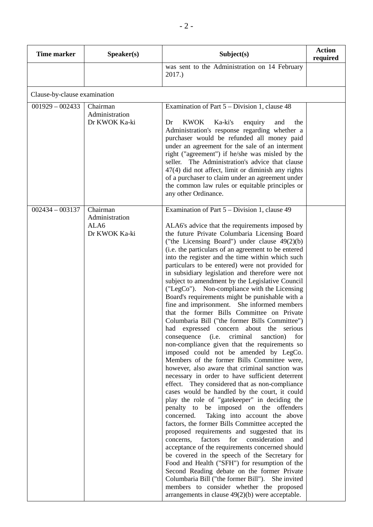| <b>Time marker</b>           | Speaker(s)                                          | Subject(s)                                                                                                                                                                                                                                                                                                                                                                                                                                                                                                                                                                                                                                                                                                                                                                                                                                                                                                                                                                                                                                                                                                                                                                                                                                                                                                                                                                                                                                                                                                                                                                                                                                                                                                                                                                                                                                      | <b>Action</b><br>required |
|------------------------------|-----------------------------------------------------|-------------------------------------------------------------------------------------------------------------------------------------------------------------------------------------------------------------------------------------------------------------------------------------------------------------------------------------------------------------------------------------------------------------------------------------------------------------------------------------------------------------------------------------------------------------------------------------------------------------------------------------------------------------------------------------------------------------------------------------------------------------------------------------------------------------------------------------------------------------------------------------------------------------------------------------------------------------------------------------------------------------------------------------------------------------------------------------------------------------------------------------------------------------------------------------------------------------------------------------------------------------------------------------------------------------------------------------------------------------------------------------------------------------------------------------------------------------------------------------------------------------------------------------------------------------------------------------------------------------------------------------------------------------------------------------------------------------------------------------------------------------------------------------------------------------------------------------------------|---------------------------|
|                              |                                                     | was sent to the Administration on 14 February<br>2017.)                                                                                                                                                                                                                                                                                                                                                                                                                                                                                                                                                                                                                                                                                                                                                                                                                                                                                                                                                                                                                                                                                                                                                                                                                                                                                                                                                                                                                                                                                                                                                                                                                                                                                                                                                                                         |                           |
| Clause-by-clause examination |                                                     |                                                                                                                                                                                                                                                                                                                                                                                                                                                                                                                                                                                                                                                                                                                                                                                                                                                                                                                                                                                                                                                                                                                                                                                                                                                                                                                                                                                                                                                                                                                                                                                                                                                                                                                                                                                                                                                 |                           |
| $001929 - 002433$            | Chairman<br>Administration<br>Dr KWOK Ka-ki         | Examination of Part $5 - Division 1$ , clause 48<br><b>KWOK</b><br>Ka-ki's<br>Dr<br>enquiry<br>and<br>the<br>Administration's response regarding whether a<br>purchaser would be refunded all money paid<br>under an agreement for the sale of an interment<br>right ("agreement") if he/she was misled by the<br>seller. The Administration's advice that clause<br>47(4) did not affect, limit or diminish any rights<br>of a purchaser to claim under an agreement under<br>the common law rules or equitable principles or<br>any other Ordinance.                                                                                                                                                                                                                                                                                                                                                                                                                                                                                                                                                                                                                                                                                                                                                                                                                                                                                                                                                                                                                                                                                                                                                                                                                                                                                          |                           |
| $002434 - 003137$            | Chairman<br>Administration<br>ALA6<br>Dr KWOK Ka-ki | Examination of Part 5 – Division 1, clause 49<br>ALA6's advice that the requirements imposed by<br>the future Private Columbaria Licensing Board<br>("the Licensing Board") under clause $49(2)(b)$<br>(i.e. the particulars of an agreement to be entered<br>into the register and the time within which such<br>particulars to be entered) were not provided for<br>in subsidiary legislation and therefore were not<br>subject to amendment by the Legislative Council<br>("LegCo"). Non-compliance with the Licensing<br>Board's requirements might be punishable with a<br>fine and imprisonment. She informed members<br>that the former Bills Committee on Private<br>Columbaria Bill ("the former Bills Committee")<br>had expressed concern about the serious<br>criminal<br>consequence<br>(i.e.<br>sanction)<br>for<br>non-compliance given that the requirements so<br>imposed could not be amended by LegCo.<br>Members of the former Bills Committee were,<br>however, also aware that criminal sanction was<br>necessary in order to have sufficient deterrent<br>effect. They considered that as non-compliance<br>cases would be handled by the court, it could<br>play the role of "gatekeeper" in deciding the<br>penalty to be imposed on the offenders<br>Taking into account the above<br>concerned.<br>factors, the former Bills Committee accepted the<br>proposed requirements and suggested that its<br>for<br>consideration<br>factors<br>concerns,<br>and<br>acceptance of the requirements concerned should<br>be covered in the speech of the Secretary for<br>Food and Health ("SFH") for resumption of the<br>Second Reading debate on the former Private<br>Columbaria Bill ("the former Bill"). She invited<br>members to consider whether the proposed<br>arrangements in clause $49(2)(b)$ were acceptable. |                           |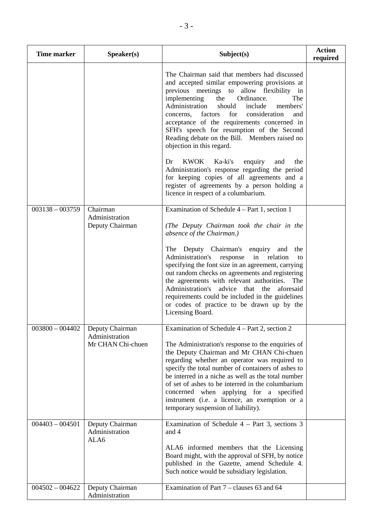| <b>Time marker</b> | Speaker(s)                                             | Subject(s)                                                                                                                                                                                                                                                                                                                                                                                                                                                                                           | <b>Action</b><br>required |
|--------------------|--------------------------------------------------------|------------------------------------------------------------------------------------------------------------------------------------------------------------------------------------------------------------------------------------------------------------------------------------------------------------------------------------------------------------------------------------------------------------------------------------------------------------------------------------------------------|---------------------------|
|                    |                                                        | The Chairman said that members had discussed<br>and accepted similar empowering provisions at<br>previous meetings to allow flexibility in<br>implementing<br>the<br>Ordinance.<br>The<br>Administration<br>should<br>include<br>members'<br>for<br>consideration<br>factors<br>concerns,<br>and<br>acceptance of the requirements concerned in<br>SFH's speech for resumption of the Second<br>Reading debate on the Bill. Members raised no<br>objection in this regard.                           |                           |
|                    |                                                        | <b>KWOK</b><br>Ka-ki's<br>Dr<br>enquiry<br>and<br>the<br>Administration's response regarding the period<br>for keeping copies of all agreements and a<br>register of agreements by a person holding a<br>licence in respect of a columbarium.                                                                                                                                                                                                                                                        |                           |
| $003138 - 003759$  | Chairman<br>Administration<br>Deputy Chairman          | Examination of Schedule $4 - Part 1$ , section 1<br>(The Deputy Chairman took the chair in the<br>absence of the Chairman.)                                                                                                                                                                                                                                                                                                                                                                          |                           |
|                    |                                                        | The Deputy Chairman's<br>enquiry<br>the<br>and<br>Administration's<br>in<br>response<br>relation<br>to<br>specifying the font size in an agreement, carrying<br>out random checks on agreements and registering<br>the agreements with relevant authorities. The<br>Administration's<br>advice that the<br>aforesaid<br>requirements could be included in the guidelines<br>or codes of practice to be drawn up by the<br>Licensing Board.                                                           |                           |
| $003800 - 004402$  | Deputy Chairman<br>Administration<br>Mr CHAN Chi-chuen | Examination of Schedule 4 – Part 2, section 2<br>The Administration's response to the enquiries of<br>the Deputy Chairman and Mr CHAN Chi-chuen<br>regarding whether an operator was required to<br>specify the total number of containers of ashes to<br>be interred in a niche as well as the total number<br>of set of ashes to be interred in the columbarium<br>concerned when applying for a specified<br>instrument (i.e. a licence, an exemption or a<br>temporary suspension of liability). |                           |
| $004403 - 004501$  | Deputy Chairman<br>Administration<br>ALA6              | Examination of Schedule $4$ – Part 3, sections 3<br>and 4<br>ALA6 informed members that the Licensing<br>Board might, with the approval of SFH, by notice<br>published in the Gazette, amend Schedule 4.<br>Such notice would be subsidiary legislation.                                                                                                                                                                                                                                             |                           |
| $004502 - 004622$  | Deputy Chairman<br>Administration                      | Examination of Part 7 – clauses 63 and 64                                                                                                                                                                                                                                                                                                                                                                                                                                                            |                           |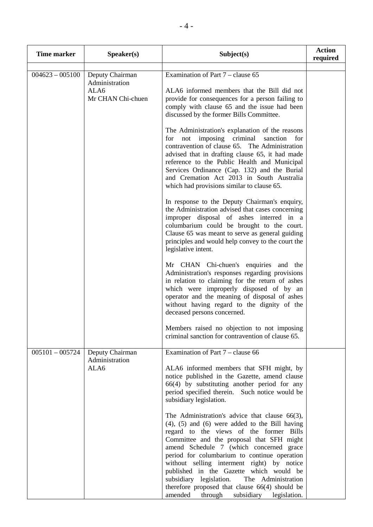| <b>Time marker</b> | Speaker(s)                                                     | Subject(s)                                                                                                                                                                                                                                                                                                                                                                                                                                                                                                                                                                                                                                                                                                                                                                                                                                                                                                                                                                                                                                                                                                                                                                                                                                                                                                                                                                                        | <b>Action</b><br>required |
|--------------------|----------------------------------------------------------------|---------------------------------------------------------------------------------------------------------------------------------------------------------------------------------------------------------------------------------------------------------------------------------------------------------------------------------------------------------------------------------------------------------------------------------------------------------------------------------------------------------------------------------------------------------------------------------------------------------------------------------------------------------------------------------------------------------------------------------------------------------------------------------------------------------------------------------------------------------------------------------------------------------------------------------------------------------------------------------------------------------------------------------------------------------------------------------------------------------------------------------------------------------------------------------------------------------------------------------------------------------------------------------------------------------------------------------------------------------------------------------------------------|---------------------------|
| $004623 - 005100$  | Deputy Chairman<br>Administration<br>ALA6<br>Mr CHAN Chi-chuen | Examination of Part 7 – clause 65<br>ALA6 informed members that the Bill did not<br>provide for consequences for a person failing to<br>comply with clause 65 and the issue had been<br>discussed by the former Bills Committee.<br>The Administration's explanation of the reasons<br>imposing criminal sanction<br>not<br>for<br>for<br>contravention of clause 65. The Administration<br>advised that in drafting clause 65, it had made<br>reference to the Public Health and Municipal<br>Services Ordinance (Cap. 132) and the Burial<br>and Cremation Act 2013 in South Australia<br>which had provisions similar to clause 65.<br>In response to the Deputy Chairman's enquiry,<br>the Administration advised that cases concerning<br>improper disposal of ashes interred in a<br>columbarium could be brought to the court.<br>Clause 65 was meant to serve as general guiding<br>principles and would help convey to the court the<br>legislative intent.<br>Mr CHAN Chi-chuen's enquiries and the<br>Administration's responses regarding provisions<br>in relation to claiming for the return of ashes<br>which were improperly disposed of by an<br>operator and the meaning of disposal of ashes<br>without having regard to the dignity of the<br>deceased persons concerned.<br>Members raised no objection to not imposing<br>criminal sanction for contravention of clause 65. |                           |
| $005101 - 005724$  | Deputy Chairman<br>Administration<br>ALA6                      | Examination of Part $7$ – clause 66<br>ALA6 informed members that SFH might, by<br>notice published in the Gazette, amend clause<br>66(4) by substituting another period for any<br>period specified therein. Such notice would be<br>subsidiary legislation.<br>The Administration's advice that clause $66(3)$ ,<br>$(4)$ , $(5)$ and $(6)$ were added to the Bill having<br>regard to the views of the former Bills<br>Committee and the proposal that SFH might<br>amend Schedule 7 (which concerned grace<br>period for columbarium to continue operation<br>without selling interment right) by notice<br>published in the Gazette which would be<br>subsidiary legislation.<br>The Administration<br>therefore proposed that clause $66(4)$ should be<br>amended<br>through<br>subsidiary legislation.                                                                                                                                                                                                                                                                                                                                                                                                                                                                                                                                                                                     |                           |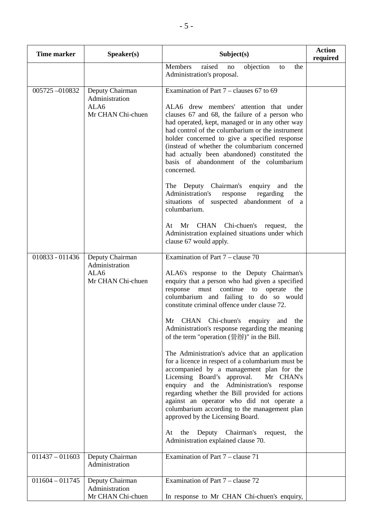| <b>Time marker</b> | Speaker(s)                                                     | Subject(s)                                                                                                                                                                                                                                                                                                                                                                                                                                                                                                                                                                                                                                                                                                                                                                                                                                                                                                                                                  | <b>Action</b><br>required |
|--------------------|----------------------------------------------------------------|-------------------------------------------------------------------------------------------------------------------------------------------------------------------------------------------------------------------------------------------------------------------------------------------------------------------------------------------------------------------------------------------------------------------------------------------------------------------------------------------------------------------------------------------------------------------------------------------------------------------------------------------------------------------------------------------------------------------------------------------------------------------------------------------------------------------------------------------------------------------------------------------------------------------------------------------------------------|---------------------------|
|                    |                                                                | raised<br>objection<br>Members<br>the<br>no<br>to<br>Administration's proposal.                                                                                                                                                                                                                                                                                                                                                                                                                                                                                                                                                                                                                                                                                                                                                                                                                                                                             |                           |
| 005725-010832      | Deputy Chairman<br>Administration<br>ALA6<br>Mr CHAN Chi-chuen | Examination of Part $7$ – clauses 67 to 69<br>ALA6 drew members' attention that under<br>clauses 67 and 68, the failure of a person who<br>had operated, kept, managed or in any other way<br>had control of the columbarium or the instrument<br>holder concerned to give a specified response<br>(instead of whether the columbarium concerned<br>had actually been abandoned) constituted the<br>basis of abandonment of the columbarium<br>concerned.<br>The Deputy Chairman's enquiry and<br>the<br>Administration's<br>response<br>regarding<br>the<br>situations of suspected abandonment of a<br>columbarium.<br>Mr CHAN Chi-chuen's request,<br>At<br>the<br>Administration explained situations under which<br>clause 67 would apply.                                                                                                                                                                                                             |                           |
| 010833 - 011436    | Deputy Chairman<br>Administration<br>ALA6<br>Mr CHAN Chi-chuen | Examination of Part $7$ – clause 70<br>ALA6's response to the Deputy Chairman's<br>enquiry that a person who had given a specified<br>must continue<br>response<br>to<br>operate<br>the<br>columbarium and failing to do so would<br>constitute criminal offence under clause 72.<br>Mr CHAN Chi-chuen's<br>enquiry and<br>the<br>Administration's response regarding the meaning<br>of the term "operation (營辦)" in the Bill.<br>The Administration's advice that an application<br>for a licence in respect of a columbarium must be<br>accompanied by a management plan for the<br>Licensing Board's approval.<br>Mr CHAN's<br>enquiry and the Administration's response<br>regarding whether the Bill provided for actions<br>against an operator who did not operate a<br>columbarium according to the management plan<br>approved by the Licensing Board.<br>Chairman's request,<br>the<br>Deputy<br>At<br>the<br>Administration explained clause 70. |                           |
| $011437 - 011603$  | Deputy Chairman<br>Administration                              | Examination of Part 7 – clause 71                                                                                                                                                                                                                                                                                                                                                                                                                                                                                                                                                                                                                                                                                                                                                                                                                                                                                                                           |                           |
| $011604 - 011745$  | Deputy Chairman<br>Administration<br>Mr CHAN Chi-chuen         | Examination of Part 7 – clause 72<br>In response to Mr CHAN Chi-chuen's enquiry,                                                                                                                                                                                                                                                                                                                                                                                                                                                                                                                                                                                                                                                                                                                                                                                                                                                                            |                           |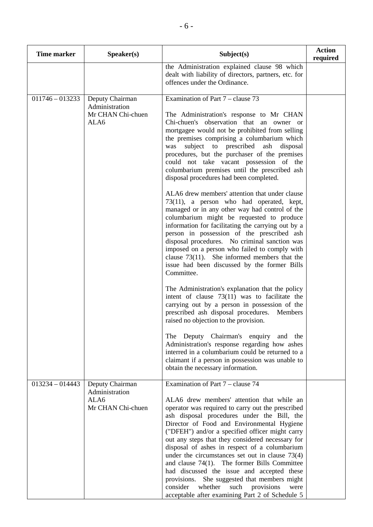| Time marker       | S <sub>p</sub> eaker(s)                                        | Subject(s)                                                                                                                                                                                                                                                                                                                                                                                                                                                                                                                                                                                                                                                                                                                                                                                                                                                                                                                                                                                                                                                                                                                                                                                                                                | <b>Action</b><br>required |
|-------------------|----------------------------------------------------------------|-------------------------------------------------------------------------------------------------------------------------------------------------------------------------------------------------------------------------------------------------------------------------------------------------------------------------------------------------------------------------------------------------------------------------------------------------------------------------------------------------------------------------------------------------------------------------------------------------------------------------------------------------------------------------------------------------------------------------------------------------------------------------------------------------------------------------------------------------------------------------------------------------------------------------------------------------------------------------------------------------------------------------------------------------------------------------------------------------------------------------------------------------------------------------------------------------------------------------------------------|---------------------------|
|                   |                                                                | the Administration explained clause 98 which<br>dealt with liability of directors, partners, etc. for<br>offences under the Ordinance.                                                                                                                                                                                                                                                                                                                                                                                                                                                                                                                                                                                                                                                                                                                                                                                                                                                                                                                                                                                                                                                                                                    |                           |
| $011746 - 013233$ | Deputy Chairman<br>Administration<br>Mr CHAN Chi-chuen<br>ALA6 | Examination of Part 7 – clause 73<br>The Administration's response to Mr CHAN<br>Chi-chuen's observation that an owner or<br>mortgagee would not be prohibited from selling<br>the premises comprising a columbarium which<br>subject to prescribed ash<br>disposal<br>was<br>procedures, but the purchaser of the premises<br>could not take vacant possession of the<br>columbarium premises until the prescribed ash<br>disposal procedures had been completed.<br>ALA6 drew members' attention that under clause<br>73(11), a person who had operated, kept,<br>managed or in any other way had control of the<br>columbarium might be requested to produce<br>information for facilitating the carrying out by a<br>person in possession of the prescribed ash<br>disposal procedures. No criminal sanction was<br>imposed on a person who failed to comply with<br>clause $73(11)$ . She informed members that the<br>issue had been discussed by the former Bills<br>Committee.<br>The Administration's explanation that the policy<br>intent of clause $73(11)$ was to facilitate the<br>carrying out by a person in possession of the<br>prescribed ash disposal procedures.<br>Members<br>raised no objection to the provision. |                           |
|                   |                                                                | The Deputy Chairman's enquiry and the<br>Administration's response regarding how ashes<br>interred in a columbarium could be returned to a<br>claimant if a person in possession was unable to<br>obtain the necessary information.                                                                                                                                                                                                                                                                                                                                                                                                                                                                                                                                                                                                                                                                                                                                                                                                                                                                                                                                                                                                       |                           |
| $013234 - 014443$ | Deputy Chairman<br>Administration<br>ALA6<br>Mr CHAN Chi-chuen | Examination of Part 7 – clause 74<br>ALA6 drew members' attention that while an<br>operator was required to carry out the prescribed<br>ash disposal procedures under the Bill, the<br>Director of Food and Environmental Hygiene<br>("DFEH") and/or a specified officer might carry<br>out any steps that they considered necessary for<br>disposal of ashes in respect of a columbarium<br>under the circumstances set out in clause $73(4)$<br>and clause 74(1). The former Bills Committee<br>had discussed the issue and accepted these<br>provisions. She suggested that members might<br>consider<br>whether<br>such provisions<br>were<br>acceptable after examining Part 2 of Schedule 5                                                                                                                                                                                                                                                                                                                                                                                                                                                                                                                                         |                           |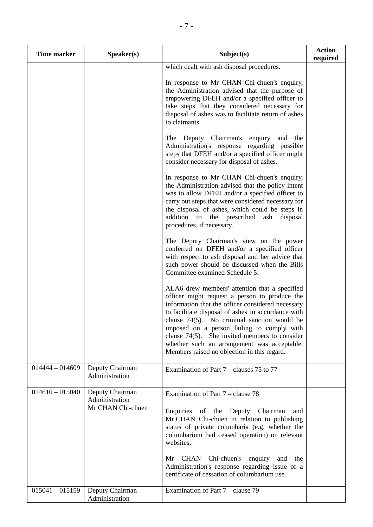| <b>Time marker</b> | S <sub>p</sub> e <sub>aker</sub> (s)                   | Subject(s)                                                                                                                                                                                                                                                                                                                                                                                                                                                                                                                                                                                                                                                                                                                                                                                                                                                                                                                                                                                                                                                                                                                                                                                                                                                                                                                                                                                                                                                                                                          | <b>Action</b><br>required |
|--------------------|--------------------------------------------------------|---------------------------------------------------------------------------------------------------------------------------------------------------------------------------------------------------------------------------------------------------------------------------------------------------------------------------------------------------------------------------------------------------------------------------------------------------------------------------------------------------------------------------------------------------------------------------------------------------------------------------------------------------------------------------------------------------------------------------------------------------------------------------------------------------------------------------------------------------------------------------------------------------------------------------------------------------------------------------------------------------------------------------------------------------------------------------------------------------------------------------------------------------------------------------------------------------------------------------------------------------------------------------------------------------------------------------------------------------------------------------------------------------------------------------------------------------------------------------------------------------------------------|---------------------------|
|                    |                                                        | which dealt with ash disposal procedures.<br>In response to Mr CHAN Chi-chuen's enquiry,<br>the Administration advised that the purpose of<br>empowering DFEH and/or a specified officer to<br>take steps that they considered necessary for<br>disposal of ashes was to facilitate return of ashes<br>to claimants.<br>The Deputy Chairman's<br>enquiry<br>and the<br>Administration's response regarding possible<br>steps that DFEH and/or a specified officer might<br>consider necessary for disposal of ashes.<br>In response to Mr CHAN Chi-chuen's enquiry,<br>the Administration advised that the policy intent<br>was to allow DFEH and/or a specified officer to<br>carry out steps that were considered necessary for<br>the disposal of ashes, which could be steps in<br>addition to the prescribed<br>ash<br>disposal<br>procedures, if necessary.<br>The Deputy Chairman's view on the power<br>conferred on DFEH and/or a specified officer<br>with respect to ash disposal and her advice that<br>such power should be discussed when the Bills<br>Committee examined Schedule 5.<br>ALA6 drew members' attention that a specified<br>officer might request a person to produce the<br>information that the officer considered necessary<br>to facilitate disposal of ashes in accordance with<br>clause $74(5)$ . No criminal sanction would be<br>imposed on a person failing to comply with<br>clause $74(5)$ . She invited members to consider<br>whether such an arrangement was acceptable. |                           |
| $014444 - 014609$  | Deputy Chairman                                        | Members raised no objection in this regard.<br>Examination of Part 7 – clauses 75 to 77                                                                                                                                                                                                                                                                                                                                                                                                                                                                                                                                                                                                                                                                                                                                                                                                                                                                                                                                                                                                                                                                                                                                                                                                                                                                                                                                                                                                                             |                           |
|                    | Administration                                         |                                                                                                                                                                                                                                                                                                                                                                                                                                                                                                                                                                                                                                                                                                                                                                                                                                                                                                                                                                                                                                                                                                                                                                                                                                                                                                                                                                                                                                                                                                                     |                           |
| $014610 - 015040$  | Deputy Chairman<br>Administration<br>Mr CHAN Chi-chuen | Examination of Part 7 – clause 78<br>Enquiries of the Deputy Chairman<br>and<br>Mr CHAN Chi-chuen in relation to publishing<br>status of private columbaria (e.g. whether the<br>columbarium had ceased operation) on relevant<br>websites.<br>CHAN Chi-chuen's enquiry and<br>Mr<br>the<br>Administration's response regarding issue of a<br>certificate of cessation of columbarium use.                                                                                                                                                                                                                                                                                                                                                                                                                                                                                                                                                                                                                                                                                                                                                                                                                                                                                                                                                                                                                                                                                                                          |                           |
| $015041 - 015159$  | Deputy Chairman<br>Administration                      | Examination of Part 7 – clause 79                                                                                                                                                                                                                                                                                                                                                                                                                                                                                                                                                                                                                                                                                                                                                                                                                                                                                                                                                                                                                                                                                                                                                                                                                                                                                                                                                                                                                                                                                   |                           |